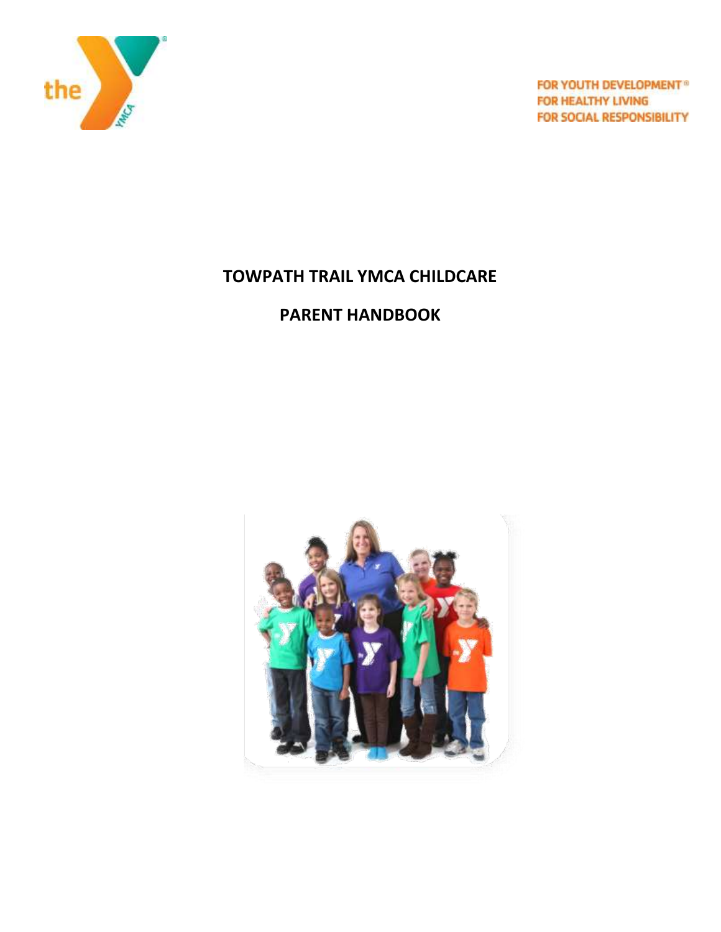

FOR YOUTH DEVELOPMENT® FOR HEALTHY LIVING **FOR SOCIAL RESPONSIBILITY** 

# **TOWPATH TRAIL YMCA CHILDCARE**

# **PARENT HANDBOOK**

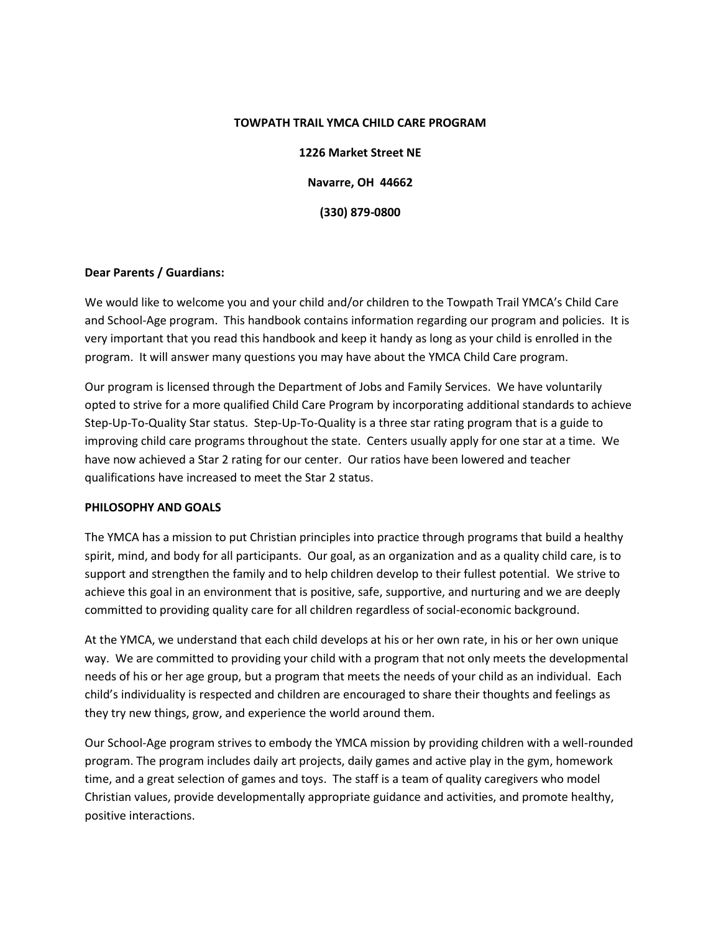#### **TOWPATH TRAIL YMCA CHILD CARE PROGRAM**

**1226 Market Street NE Navarre, OH 44662 (330) 879-0800**

# **Dear Parents / Guardians:**

We would like to welcome you and your child and/or children to the Towpath Trail YMCA's Child Care and School-Age program. This handbook contains information regarding our program and policies. It is very important that you read this handbook and keep it handy as long as your child is enrolled in the program. It will answer many questions you may have about the YMCA Child Care program.

Our program is licensed through the Department of Jobs and Family Services. We have voluntarily opted to strive for a more qualified Child Care Program by incorporating additional standards to achieve Step-Up-To-Quality Star status. Step-Up-To-Quality is a three star rating program that is a guide to improving child care programs throughout the state. Centers usually apply for one star at a time. We have now achieved a Star 2 rating for our center. Our ratios have been lowered and teacher qualifications have increased to meet the Star 2 status.

# **PHILOSOPHY AND GOALS**

The YMCA has a mission to put Christian principles into practice through programs that build a healthy spirit, mind, and body for all participants. Our goal, as an organization and as a quality child care, is to support and strengthen the family and to help children develop to their fullest potential. We strive to achieve this goal in an environment that is positive, safe, supportive, and nurturing and we are deeply committed to providing quality care for all children regardless of social-economic background.

At the YMCA, we understand that each child develops at his or her own rate, in his or her own unique way. We are committed to providing your child with a program that not only meets the developmental needs of his or her age group, but a program that meets the needs of your child as an individual. Each child's individuality is respected and children are encouraged to share their thoughts and feelings as they try new things, grow, and experience the world around them.

Our School-Age program strives to embody the YMCA mission by providing children with a well-rounded program. The program includes daily art projects, daily games and active play in the gym, homework time, and a great selection of games and toys. The staff is a team of quality caregivers who model Christian values, provide developmentally appropriate guidance and activities, and promote healthy, positive interactions.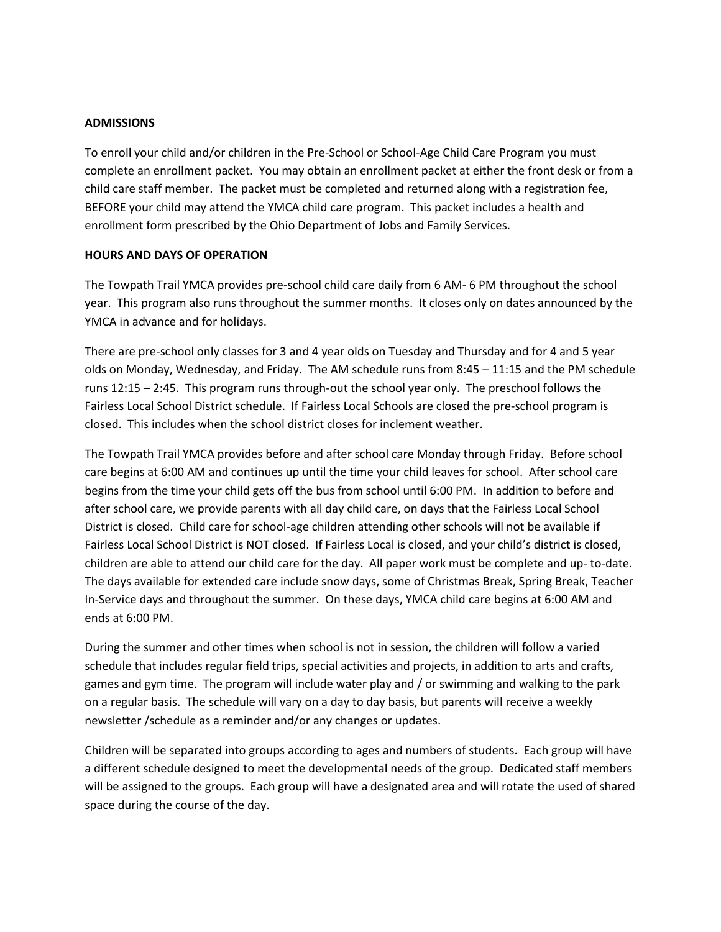## **ADMISSIONS**

To enroll your child and/or children in the Pre-School or School-Age Child Care Program you must complete an enrollment packet. You may obtain an enrollment packet at either the front desk or from a child care staff member. The packet must be completed and returned along with a registration fee, BEFORE your child may attend the YMCA child care program. This packet includes a health and enrollment form prescribed by the Ohio Department of Jobs and Family Services.

## **HOURS AND DAYS OF OPERATION**

The Towpath Trail YMCA provides pre-school child care daily from 6 AM- 6 PM throughout the school year. This program also runs throughout the summer months. It closes only on dates announced by the YMCA in advance and for holidays.

There are pre-school only classes for 3 and 4 year olds on Tuesday and Thursday and for 4 and 5 year olds on Monday, Wednesday, and Friday. The AM schedule runs from 8:45 – 11:15 and the PM schedule runs 12:15 – 2:45. This program runs through-out the school year only. The preschool follows the Fairless Local School District schedule. If Fairless Local Schools are closed the pre-school program is closed. This includes when the school district closes for inclement weather.

The Towpath Trail YMCA provides before and after school care Monday through Friday. Before school care begins at 6:00 AM and continues up until the time your child leaves for school. After school care begins from the time your child gets off the bus from school until 6:00 PM. In addition to before and after school care, we provide parents with all day child care, on days that the Fairless Local School District is closed. Child care for school-age children attending other schools will not be available if Fairless Local School District is NOT closed. If Fairless Local is closed, and your child's district is closed, children are able to attend our child care for the day. All paper work must be complete and up- to-date. The days available for extended care include snow days, some of Christmas Break, Spring Break, Teacher In-Service days and throughout the summer. On these days, YMCA child care begins at 6:00 AM and ends at 6:00 PM.

During the summer and other times when school is not in session, the children will follow a varied schedule that includes regular field trips, special activities and projects, in addition to arts and crafts, games and gym time. The program will include water play and / or swimming and walking to the park on a regular basis. The schedule will vary on a day to day basis, but parents will receive a weekly newsletter /schedule as a reminder and/or any changes or updates.

Children will be separated into groups according to ages and numbers of students. Each group will have a different schedule designed to meet the developmental needs of the group. Dedicated staff members will be assigned to the groups. Each group will have a designated area and will rotate the used of shared space during the course of the day.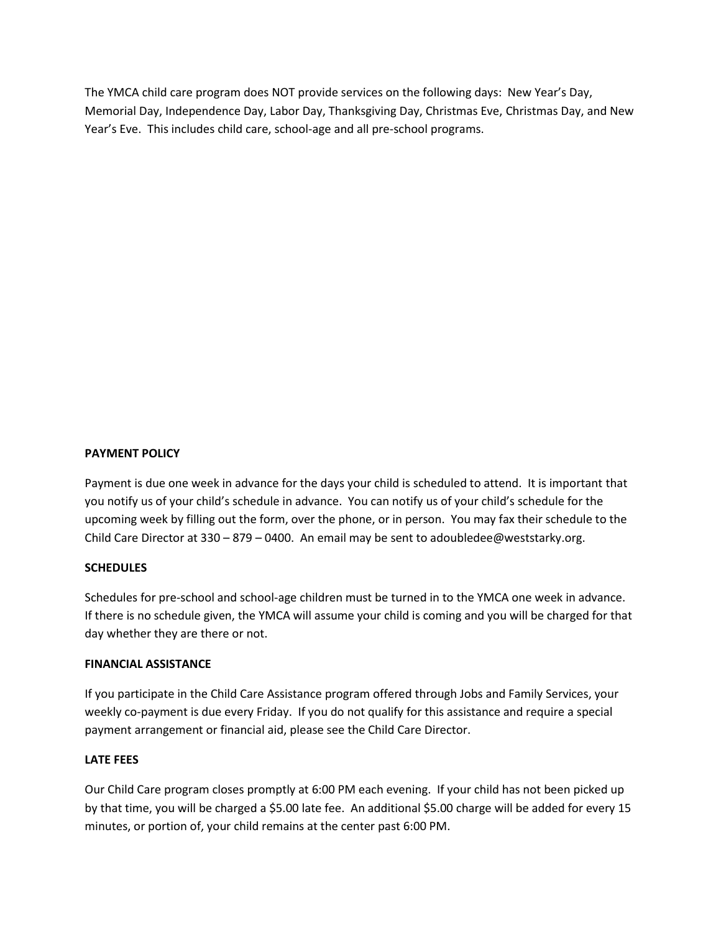The YMCA child care program does NOT provide services on the following days: New Year's Day, Memorial Day, Independence Day, Labor Day, Thanksgiving Day, Christmas Eve, Christmas Day, and New Year's Eve. This includes child care, school-age and all pre-school programs.

# **PAYMENT POLICY**

Payment is due one week in advance for the days your child is scheduled to attend. It is important that you notify us of your child's schedule in advance. You can notify us of your child's schedule for the upcoming week by filling out the form, over the phone, or in person. You may fax their schedule to the Child Care Director at  $330 - 879 - 0400$ . An email may be sent to adoubledee@weststarky.org.

#### **SCHEDULES**

Schedules for pre-school and school-age children must be turned in to the YMCA one week in advance. If there is no schedule given, the YMCA will assume your child is coming and you will be charged for that day whether they are there or not.

#### **FINANCIAL ASSISTANCE**

If you participate in the Child Care Assistance program offered through Jobs and Family Services, your weekly co-payment is due every Friday. If you do not qualify for this assistance and require a special payment arrangement or financial aid, please see the Child Care Director.

# **LATE FEES**

Our Child Care program closes promptly at 6:00 PM each evening. If your child has not been picked up by that time, you will be charged a \$5.00 late fee. An additional \$5.00 charge will be added for every 15 minutes, or portion of, your child remains at the center past 6:00 PM.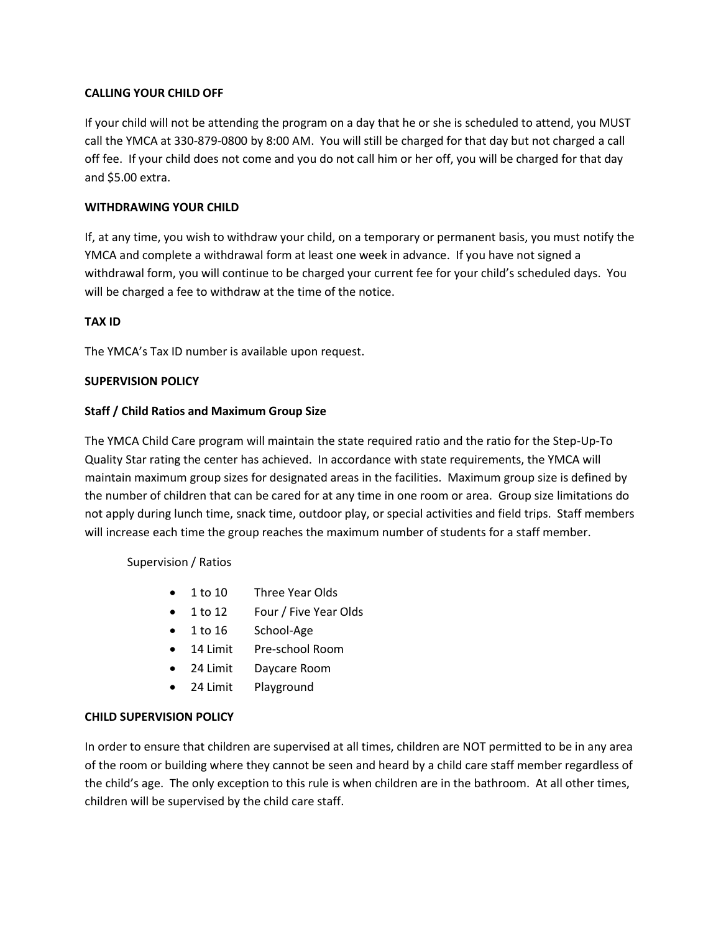# **CALLING YOUR CHILD OFF**

If your child will not be attending the program on a day that he or she is scheduled to attend, you MUST call the YMCA at 330-879-0800 by 8:00 AM. You will still be charged for that day but not charged a call off fee. If your child does not come and you do not call him or her off, you will be charged for that day and \$5.00 extra.

# **WITHDRAWING YOUR CHILD**

If, at any time, you wish to withdraw your child, on a temporary or permanent basis, you must notify the YMCA and complete a withdrawal form at least one week in advance. If you have not signed a withdrawal form, you will continue to be charged your current fee for your child's scheduled days. You will be charged a fee to withdraw at the time of the notice.

# **TAX ID**

The YMCA's Tax ID number is available upon request.

# **SUPERVISION POLICY**

# **Staff / Child Ratios and Maximum Group Size**

The YMCA Child Care program will maintain the state required ratio and the ratio for the Step-Up-To Quality Star rating the center has achieved. In accordance with state requirements, the YMCA will maintain maximum group sizes for designated areas in the facilities. Maximum group size is defined by the number of children that can be cared for at any time in one room or area. Group size limitations do not apply during lunch time, snack time, outdoor play, or special activities and field trips. Staff members will increase each time the group reaches the maximum number of students for a staff member.

Supervision / Ratios

- 1 to 10 Three Year Olds
- 1 to 12 Four / Five Year Olds
- 1 to 16 School-Age
- 14 Limit Pre-school Room
- 24 Limit Daycare Room
- 24 Limit Playground

# **CHILD SUPERVISION POLICY**

In order to ensure that children are supervised at all times, children are NOT permitted to be in any area of the room or building where they cannot be seen and heard by a child care staff member regardless of the child's age. The only exception to this rule is when children are in the bathroom. At all other times, children will be supervised by the child care staff.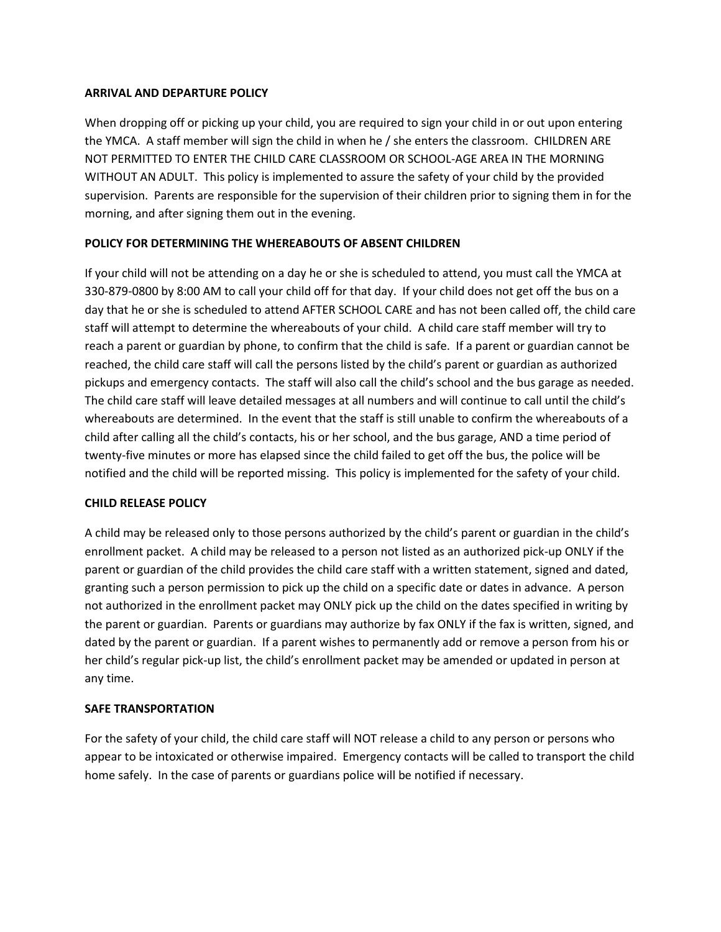# **ARRIVAL AND DEPARTURE POLICY**

When dropping off or picking up your child, you are required to sign your child in or out upon entering the YMCA. A staff member will sign the child in when he / she enters the classroom. CHILDREN ARE NOT PERMITTED TO ENTER THE CHILD CARE CLASSROOM OR SCHOOL-AGE AREA IN THE MORNING WITHOUT AN ADULT. This policy is implemented to assure the safety of your child by the provided supervision. Parents are responsible for the supervision of their children prior to signing them in for the morning, and after signing them out in the evening.

# **POLICY FOR DETERMINING THE WHEREABOUTS OF ABSENT CHILDREN**

If your child will not be attending on a day he or she is scheduled to attend, you must call the YMCA at 330-879-0800 by 8:00 AM to call your child off for that day. If your child does not get off the bus on a day that he or she is scheduled to attend AFTER SCHOOL CARE and has not been called off, the child care staff will attempt to determine the whereabouts of your child. A child care staff member will try to reach a parent or guardian by phone, to confirm that the child is safe. If a parent or guardian cannot be reached, the child care staff will call the persons listed by the child's parent or guardian as authorized pickups and emergency contacts. The staff will also call the child's school and the bus garage as needed. The child care staff will leave detailed messages at all numbers and will continue to call until the child's whereabouts are determined. In the event that the staff is still unable to confirm the whereabouts of a child after calling all the child's contacts, his or her school, and the bus garage, AND a time period of twenty-five minutes or more has elapsed since the child failed to get off the bus, the police will be notified and the child will be reported missing. This policy is implemented for the safety of your child.

# **CHILD RELEASE POLICY**

A child may be released only to those persons authorized by the child's parent or guardian in the child's enrollment packet. A child may be released to a person not listed as an authorized pick-up ONLY if the parent or guardian of the child provides the child care staff with a written statement, signed and dated, granting such a person permission to pick up the child on a specific date or dates in advance. A person not authorized in the enrollment packet may ONLY pick up the child on the dates specified in writing by the parent or guardian. Parents or guardians may authorize by fax ONLY if the fax is written, signed, and dated by the parent or guardian. If a parent wishes to permanently add or remove a person from his or her child's regular pick-up list, the child's enrollment packet may be amended or updated in person at any time.

# **SAFE TRANSPORTATION**

For the safety of your child, the child care staff will NOT release a child to any person or persons who appear to be intoxicated or otherwise impaired. Emergency contacts will be called to transport the child home safely. In the case of parents or guardians police will be notified if necessary.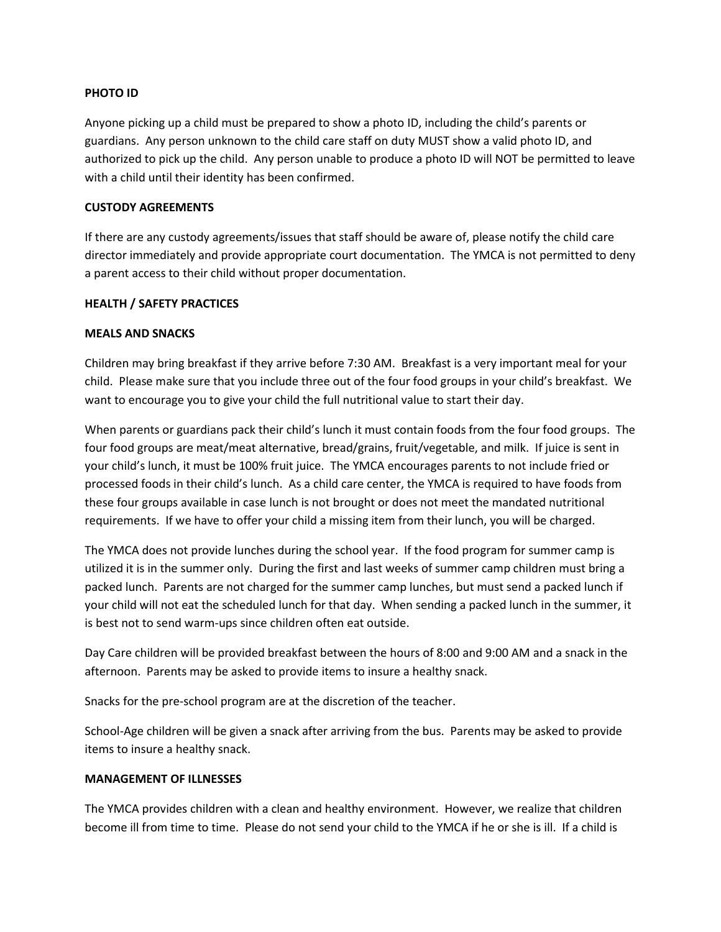## **PHOTO ID**

Anyone picking up a child must be prepared to show a photo ID, including the child's parents or guardians. Any person unknown to the child care staff on duty MUST show a valid photo ID, and authorized to pick up the child. Any person unable to produce a photo ID will NOT be permitted to leave with a child until their identity has been confirmed.

## **CUSTODY AGREEMENTS**

If there are any custody agreements/issues that staff should be aware of, please notify the child care director immediately and provide appropriate court documentation. The YMCA is not permitted to deny a parent access to their child without proper documentation.

# **HEALTH / SAFETY PRACTICES**

## **MEALS AND SNACKS**

Children may bring breakfast if they arrive before 7:30 AM. Breakfast is a very important meal for your child. Please make sure that you include three out of the four food groups in your child's breakfast. We want to encourage you to give your child the full nutritional value to start their day.

When parents or guardians pack their child's lunch it must contain foods from the four food groups. The four food groups are meat/meat alternative, bread/grains, fruit/vegetable, and milk. If juice is sent in your child's lunch, it must be 100% fruit juice. The YMCA encourages parents to not include fried or processed foods in their child's lunch. As a child care center, the YMCA is required to have foods from these four groups available in case lunch is not brought or does not meet the mandated nutritional requirements. If we have to offer your child a missing item from their lunch, you will be charged.

The YMCA does not provide lunches during the school year. If the food program for summer camp is utilized it is in the summer only. During the first and last weeks of summer camp children must bring a packed lunch. Parents are not charged for the summer camp lunches, but must send a packed lunch if your child will not eat the scheduled lunch for that day. When sending a packed lunch in the summer, it is best not to send warm-ups since children often eat outside.

Day Care children will be provided breakfast between the hours of 8:00 and 9:00 AM and a snack in the afternoon. Parents may be asked to provide items to insure a healthy snack.

Snacks for the pre-school program are at the discretion of the teacher.

School-Age children will be given a snack after arriving from the bus. Parents may be asked to provide items to insure a healthy snack.

#### **MANAGEMENT OF ILLNESSES**

The YMCA provides children with a clean and healthy environment. However, we realize that children become ill from time to time. Please do not send your child to the YMCA if he or she is ill. If a child is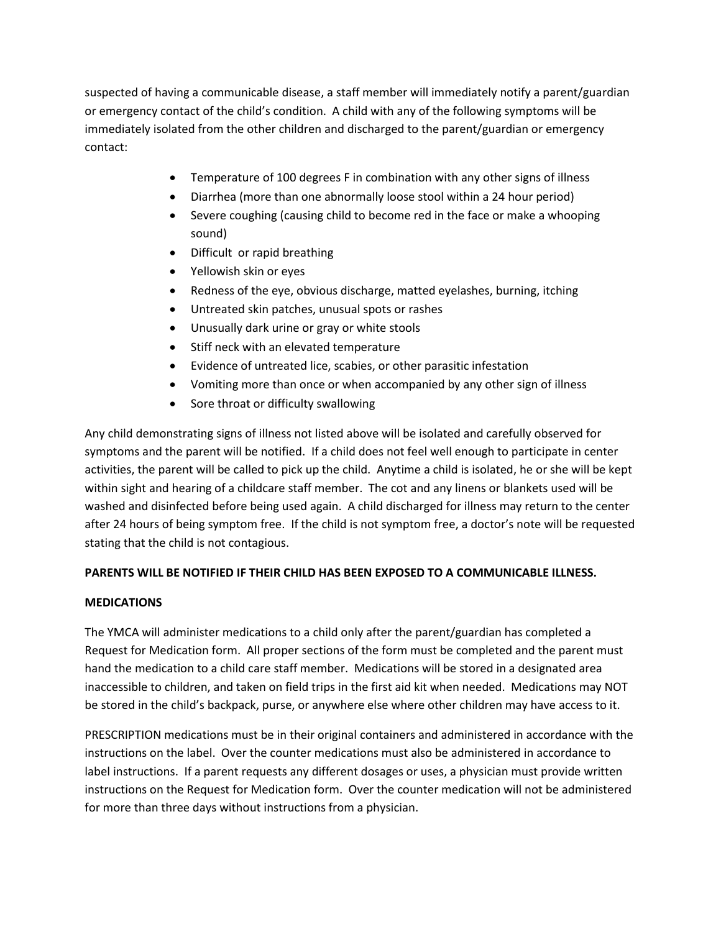suspected of having a communicable disease, a staff member will immediately notify a parent/guardian or emergency contact of the child's condition. A child with any of the following symptoms will be immediately isolated from the other children and discharged to the parent/guardian or emergency contact:

- Temperature of 100 degrees F in combination with any other signs of illness
- Diarrhea (more than one abnormally loose stool within a 24 hour period)
- Severe coughing (causing child to become red in the face or make a whooping sound)
- Difficult or rapid breathing
- Yellowish skin or eyes
- Redness of the eye, obvious discharge, matted eyelashes, burning, itching
- Untreated skin patches, unusual spots or rashes
- Unusually dark urine or gray or white stools
- Stiff neck with an elevated temperature
- Evidence of untreated lice, scabies, or other parasitic infestation
- Vomiting more than once or when accompanied by any other sign of illness
- Sore throat or difficulty swallowing

Any child demonstrating signs of illness not listed above will be isolated and carefully observed for symptoms and the parent will be notified. If a child does not feel well enough to participate in center activities, the parent will be called to pick up the child. Anytime a child is isolated, he or she will be kept within sight and hearing of a childcare staff member. The cot and any linens or blankets used will be washed and disinfected before being used again. A child discharged for illness may return to the center after 24 hours of being symptom free. If the child is not symptom free, a doctor's note will be requested stating that the child is not contagious.

# **PARENTS WILL BE NOTIFIED IF THEIR CHILD HAS BEEN EXPOSED TO A COMMUNICABLE ILLNESS.**

# **MEDICATIONS**

The YMCA will administer medications to a child only after the parent/guardian has completed a Request for Medication form. All proper sections of the form must be completed and the parent must hand the medication to a child care staff member. Medications will be stored in a designated area inaccessible to children, and taken on field trips in the first aid kit when needed. Medications may NOT be stored in the child's backpack, purse, or anywhere else where other children may have access to it.

PRESCRIPTION medications must be in their original containers and administered in accordance with the instructions on the label. Over the counter medications must also be administered in accordance to label instructions. If a parent requests any different dosages or uses, a physician must provide written instructions on the Request for Medication form. Over the counter medication will not be administered for more than three days without instructions from a physician.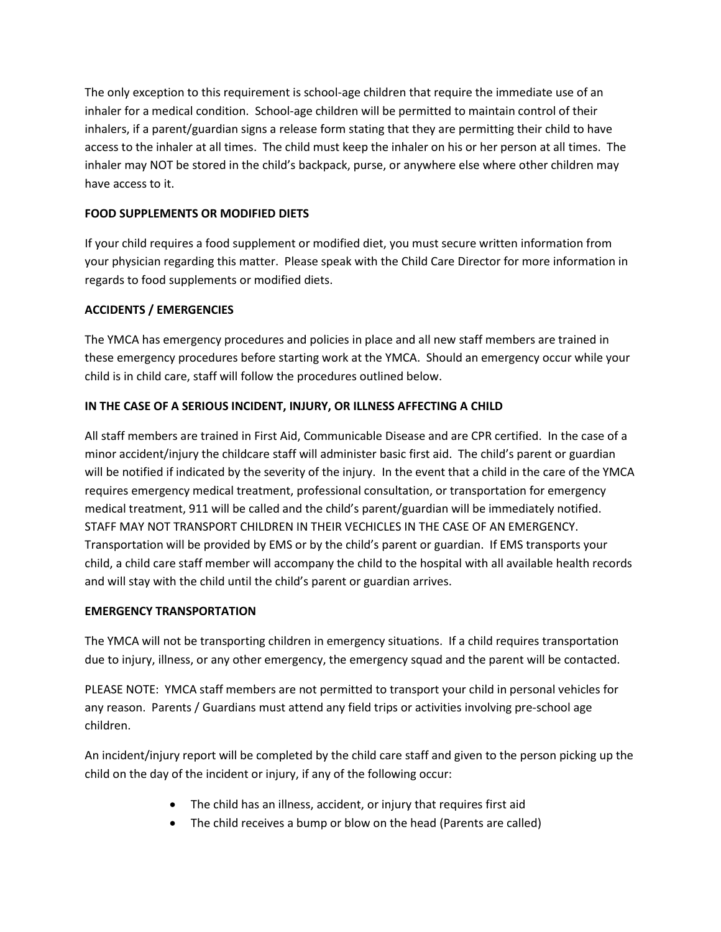The only exception to this requirement is school-age children that require the immediate use of an inhaler for a medical condition. School-age children will be permitted to maintain control of their inhalers, if a parent/guardian signs a release form stating that they are permitting their child to have access to the inhaler at all times. The child must keep the inhaler on his or her person at all times. The inhaler may NOT be stored in the child's backpack, purse, or anywhere else where other children may have access to it.

# **FOOD SUPPLEMENTS OR MODIFIED DIETS**

If your child requires a food supplement or modified diet, you must secure written information from your physician regarding this matter. Please speak with the Child Care Director for more information in regards to food supplements or modified diets.

# **ACCIDENTS / EMERGENCIES**

The YMCA has emergency procedures and policies in place and all new staff members are trained in these emergency procedures before starting work at the YMCA. Should an emergency occur while your child is in child care, staff will follow the procedures outlined below.

# **IN THE CASE OF A SERIOUS INCIDENT, INJURY, OR ILLNESS AFFECTING A CHILD**

All staff members are trained in First Aid, Communicable Disease and are CPR certified. In the case of a minor accident/injury the childcare staff will administer basic first aid. The child's parent or guardian will be notified if indicated by the severity of the injury. In the event that a child in the care of the YMCA requires emergency medical treatment, professional consultation, or transportation for emergency medical treatment, 911 will be called and the child's parent/guardian will be immediately notified. STAFF MAY NOT TRANSPORT CHILDREN IN THEIR VECHICLES IN THE CASE OF AN EMERGENCY. Transportation will be provided by EMS or by the child's parent or guardian. If EMS transports your child, a child care staff member will accompany the child to the hospital with all available health records and will stay with the child until the child's parent or guardian arrives.

# **EMERGENCY TRANSPORTATION**

The YMCA will not be transporting children in emergency situations. If a child requires transportation due to injury, illness, or any other emergency, the emergency squad and the parent will be contacted.

PLEASE NOTE: YMCA staff members are not permitted to transport your child in personal vehicles for any reason. Parents / Guardians must attend any field trips or activities involving pre-school age children.

An incident/injury report will be completed by the child care staff and given to the person picking up the child on the day of the incident or injury, if any of the following occur:

- The child has an illness, accident, or injury that requires first aid
- The child receives a bump or blow on the head (Parents are called)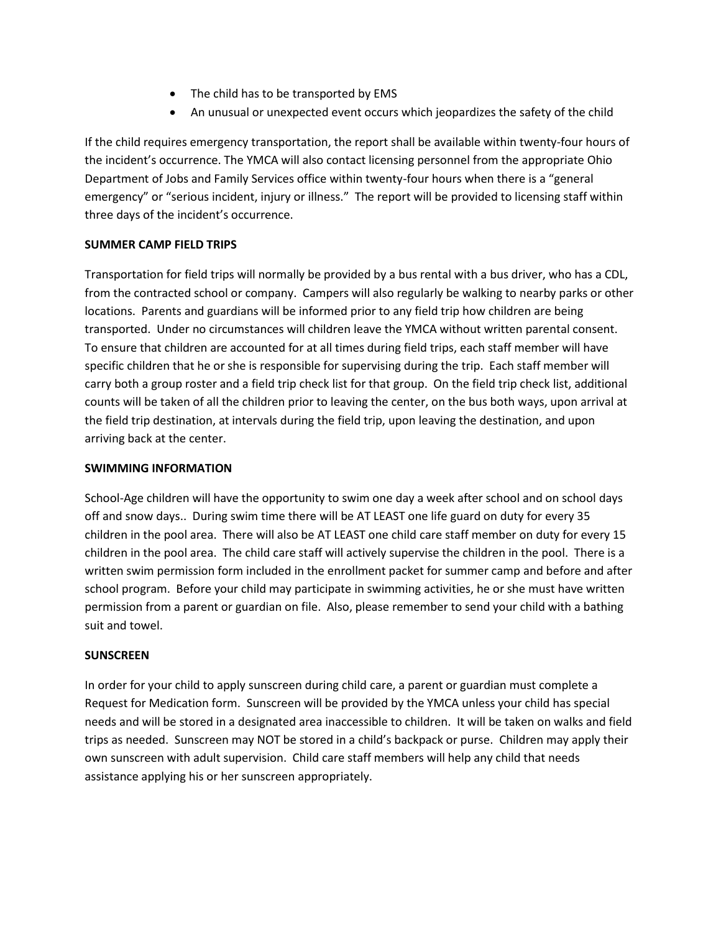- The child has to be transported by EMS
- An unusual or unexpected event occurs which jeopardizes the safety of the child

If the child requires emergency transportation, the report shall be available within twenty-four hours of the incident's occurrence. The YMCA will also contact licensing personnel from the appropriate Ohio Department of Jobs and Family Services office within twenty-four hours when there is a "general emergency" or "serious incident, injury or illness." The report will be provided to licensing staff within three days of the incident's occurrence.

# **SUMMER CAMP FIELD TRIPS**

Transportation for field trips will normally be provided by a bus rental with a bus driver, who has a CDL, from the contracted school or company. Campers will also regularly be walking to nearby parks or other locations. Parents and guardians will be informed prior to any field trip how children are being transported. Under no circumstances will children leave the YMCA without written parental consent. To ensure that children are accounted for at all times during field trips, each staff member will have specific children that he or she is responsible for supervising during the trip. Each staff member will carry both a group roster and a field trip check list for that group. On the field trip check list, additional counts will be taken of all the children prior to leaving the center, on the bus both ways, upon arrival at the field trip destination, at intervals during the field trip, upon leaving the destination, and upon arriving back at the center.

# **SWIMMING INFORMATION**

School-Age children will have the opportunity to swim one day a week after school and on school days off and snow days.. During swim time there will be AT LEAST one life guard on duty for every 35 children in the pool area. There will also be AT LEAST one child care staff member on duty for every 15 children in the pool area. The child care staff will actively supervise the children in the pool. There is a written swim permission form included in the enrollment packet for summer camp and before and after school program. Before your child may participate in swimming activities, he or she must have written permission from a parent or guardian on file. Also, please remember to send your child with a bathing suit and towel.

# **SUNSCREEN**

In order for your child to apply sunscreen during child care, a parent or guardian must complete a Request for Medication form. Sunscreen will be provided by the YMCA unless your child has special needs and will be stored in a designated area inaccessible to children. It will be taken on walks and field trips as needed. Sunscreen may NOT be stored in a child's backpack or purse. Children may apply their own sunscreen with adult supervision. Child care staff members will help any child that needs assistance applying his or her sunscreen appropriately.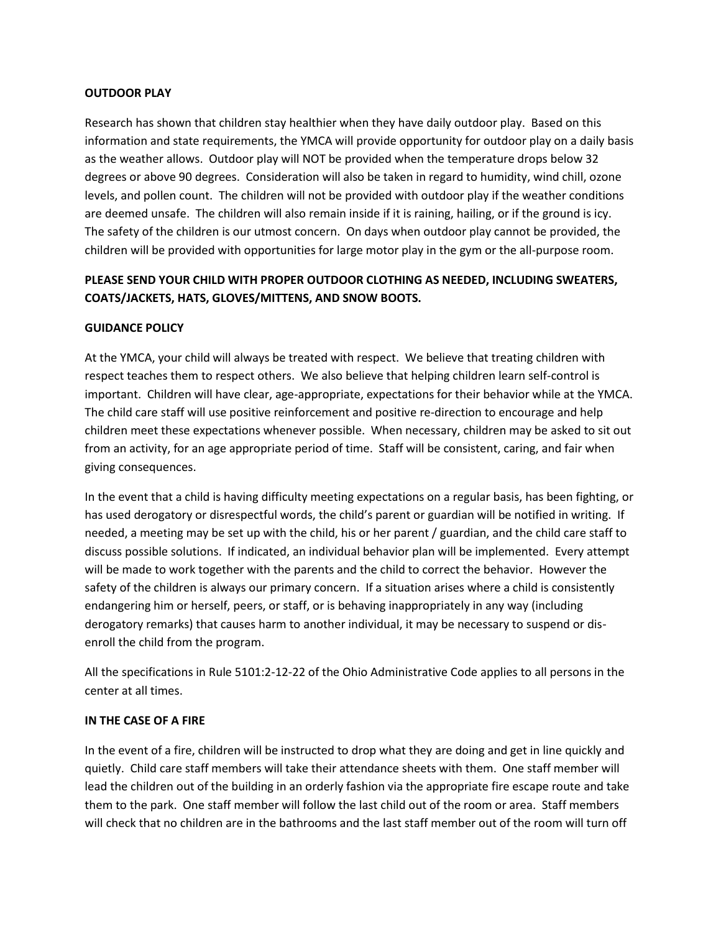# **OUTDOOR PLAY**

Research has shown that children stay healthier when they have daily outdoor play. Based on this information and state requirements, the YMCA will provide opportunity for outdoor play on a daily basis as the weather allows. Outdoor play will NOT be provided when the temperature drops below 32 degrees or above 90 degrees. Consideration will also be taken in regard to humidity, wind chill, ozone levels, and pollen count. The children will not be provided with outdoor play if the weather conditions are deemed unsafe. The children will also remain inside if it is raining, hailing, or if the ground is icy. The safety of the children is our utmost concern. On days when outdoor play cannot be provided, the children will be provided with opportunities for large motor play in the gym or the all-purpose room.

# **PLEASE SEND YOUR CHILD WITH PROPER OUTDOOR CLOTHING AS NEEDED, INCLUDING SWEATERS, COATS/JACKETS, HATS, GLOVES/MITTENS, AND SNOW BOOTS.**

## **GUIDANCE POLICY**

At the YMCA, your child will always be treated with respect. We believe that treating children with respect teaches them to respect others. We also believe that helping children learn self-control is important. Children will have clear, age-appropriate, expectations for their behavior while at the YMCA. The child care staff will use positive reinforcement and positive re-direction to encourage and help children meet these expectations whenever possible. When necessary, children may be asked to sit out from an activity, for an age appropriate period of time. Staff will be consistent, caring, and fair when giving consequences.

In the event that a child is having difficulty meeting expectations on a regular basis, has been fighting, or has used derogatory or disrespectful words, the child's parent or guardian will be notified in writing. If needed, a meeting may be set up with the child, his or her parent / guardian, and the child care staff to discuss possible solutions. If indicated, an individual behavior plan will be implemented. Every attempt will be made to work together with the parents and the child to correct the behavior. However the safety of the children is always our primary concern. If a situation arises where a child is consistently endangering him or herself, peers, or staff, or is behaving inappropriately in any way (including derogatory remarks) that causes harm to another individual, it may be necessary to suspend or disenroll the child from the program.

All the specifications in Rule 5101:2-12-22 of the Ohio Administrative Code applies to all persons in the center at all times.

#### **IN THE CASE OF A FIRE**

In the event of a fire, children will be instructed to drop what they are doing and get in line quickly and quietly. Child care staff members will take their attendance sheets with them. One staff member will lead the children out of the building in an orderly fashion via the appropriate fire escape route and take them to the park. One staff member will follow the last child out of the room or area. Staff members will check that no children are in the bathrooms and the last staff member out of the room will turn off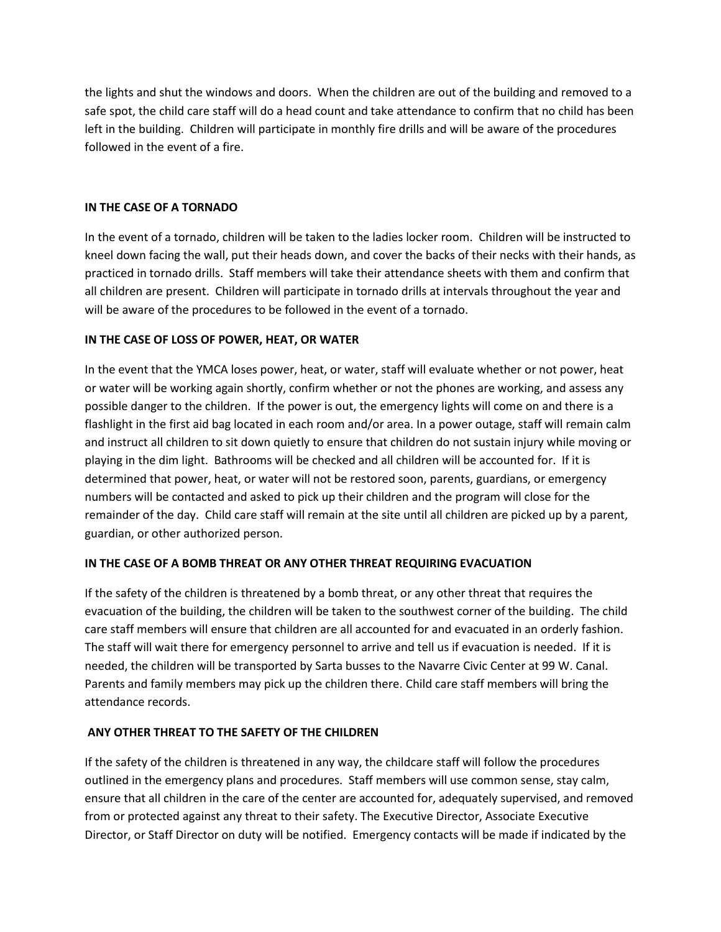the lights and shut the windows and doors. When the children are out of the building and removed to a safe spot, the child care staff will do a head count and take attendance to confirm that no child has been left in the building. Children will participate in monthly fire drills and will be aware of the procedures followed in the event of a fire.

# **IN THE CASE OF A TORNADO**

In the event of a tornado, children will be taken to the ladies locker room. Children will be instructed to kneel down facing the wall, put their heads down, and cover the backs of their necks with their hands, as practiced in tornado drills. Staff members will take their attendance sheets with them and confirm that all children are present. Children will participate in tornado drills at intervals throughout the year and will be aware of the procedures to be followed in the event of a tornado.

# **IN THE CASE OF LOSS OF POWER, HEAT, OR WATER**

In the event that the YMCA loses power, heat, or water, staff will evaluate whether or not power, heat or water will be working again shortly, confirm whether or not the phones are working, and assess any possible danger to the children. If the power is out, the emergency lights will come on and there is a flashlight in the first aid bag located in each room and/or area. In a power outage, staff will remain calm and instruct all children to sit down quietly to ensure that children do not sustain injury while moving or playing in the dim light. Bathrooms will be checked and all children will be accounted for. If it is determined that power, heat, or water will not be restored soon, parents, guardians, or emergency numbers will be contacted and asked to pick up their children and the program will close for the remainder of the day. Child care staff will remain at the site until all children are picked up by a parent, guardian, or other authorized person.

# **IN THE CASE OF A BOMB THREAT OR ANY OTHER THREAT REQUIRING EVACUATION**

If the safety of the children is threatened by a bomb threat, or any other threat that requires the evacuation of the building, the children will be taken to the southwest corner of the building. The child care staff members will ensure that children are all accounted for and evacuated in an orderly fashion. The staff will wait there for emergency personnel to arrive and tell us if evacuation is needed. If it is needed, the children will be transported by Sarta busses to the Navarre Civic Center at 99 W. Canal. Parents and family members may pick up the children there. Child care staff members will bring the attendance records.

# **ANY OTHER THREAT TO THE SAFETY OF THE CHILDREN**

If the safety of the children is threatened in any way, the childcare staff will follow the procedures outlined in the emergency plans and procedures. Staff members will use common sense, stay calm, ensure that all children in the care of the center are accounted for, adequately supervised, and removed from or protected against any threat to their safety. The Executive Director, Associate Executive Director, or Staff Director on duty will be notified. Emergency contacts will be made if indicated by the